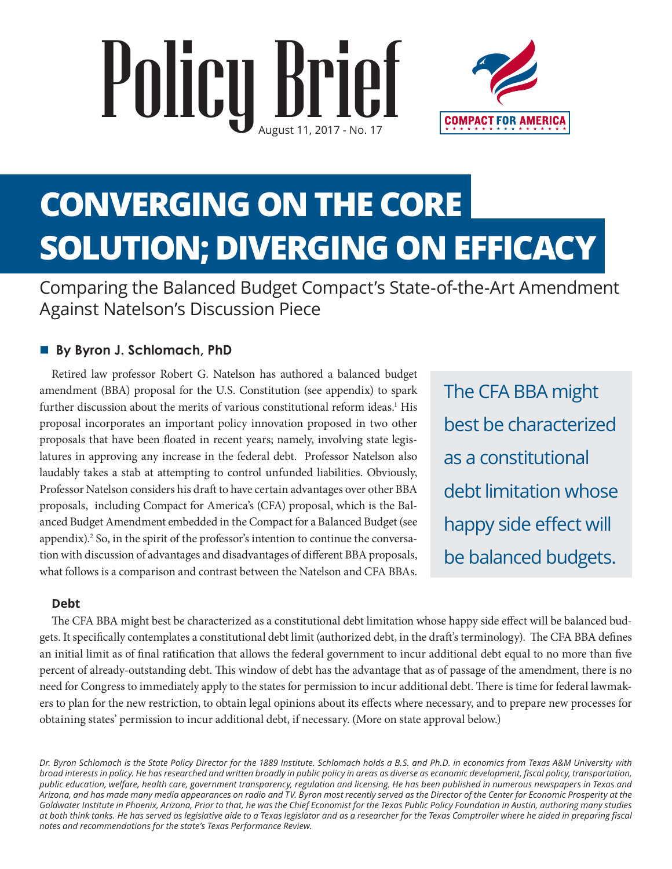# Policy Brief



# **CONVERGING ON THE CORE SOLUTION; DIVERGING ON EFFICACY**

Comparing the Balanced Budget Compact's State-of-the-Art Amendment Against Natelson's Discussion Piece

# ■ By Byron J. Schlomach, PhD

Retired law professor Robert G. Natelson has authored a balanced budget amendment (BBA) proposal for the U.S. Constitution (see appendix) to spark further discussion about the merits of various constitutional reform ideas.<sup>1</sup> His proposal incorporates an important policy innovation proposed in two other proposals that have been floated in recent years; namely, involving state legislatures in approving any increase in the federal debt. Professor Natelson also laudably takes a stab at attempting to control unfunded liabilities. Obviously, Professor Natelson considers his draft to have certain advantages over other BBA proposals, including Compact for America's (CFA) proposal, which is the Balanced Budget Amendment embedded in the Compact for a Balanced Budget (see appendix).2 So, in the spirit of the professor's intention to continue the conversation with discussion of advantages and disadvantages of different BBA proposals, what follows is a comparison and contrast between the Natelson and CFA BBAs.

The CFA BBA might best be characterized as a constitutional debt limitation whose happy side effect will be balanced budgets.

# **Debt**

The CFA BBA might best be characterized as a constitutional debt limitation whose happy side effect will be balanced budgets. It specifically contemplates a constitutional debt limit (authorized debt, in the draft's terminology). The CFA BBA defines an initial limit as of final ratification that allows the federal government to incur additional debt equal to no more than five percent of already-outstanding debt. This window of debt has the advantage that as of passage of the amendment, there is no need for Congress to immediately apply to the states for permission to incur additional debt. There is time for federal lawmakers to plan for the new restriction, to obtain legal opinions about its effects where necessary, and to prepare new processes for obtaining states' permission to incur additional debt, if necessary. (More on state approval below.)

*Dr. Byron Schlomach is the State Policy Director for the 1889 Institute. Schlomach holds a B.S. and Ph.D. in economics from Texas A&M University with broad interests in policy. He has researched and written broadly in public policy in areas as diverse as economic development, fiscal policy, transportation, public education, welfare, health care, government transparency, regulation and licensing. He has been published in numerous newspapers in Texas and Arizona, and has made many media appearances on radio and TV. Byron most recently served as the Director of the Center for Economic Prosperity at the Goldwater Institute in Phoenix, Arizona, Prior to that, he was the Chief Economist for the Texas Public Policy Foundation in Austin, authoring many studies at both think tanks. He has served as legislative aide to a Texas legislator and as a researcher for the Texas Comptroller where he aided in preparing fiscal notes and recommendations for the state's Texas Performance Review.*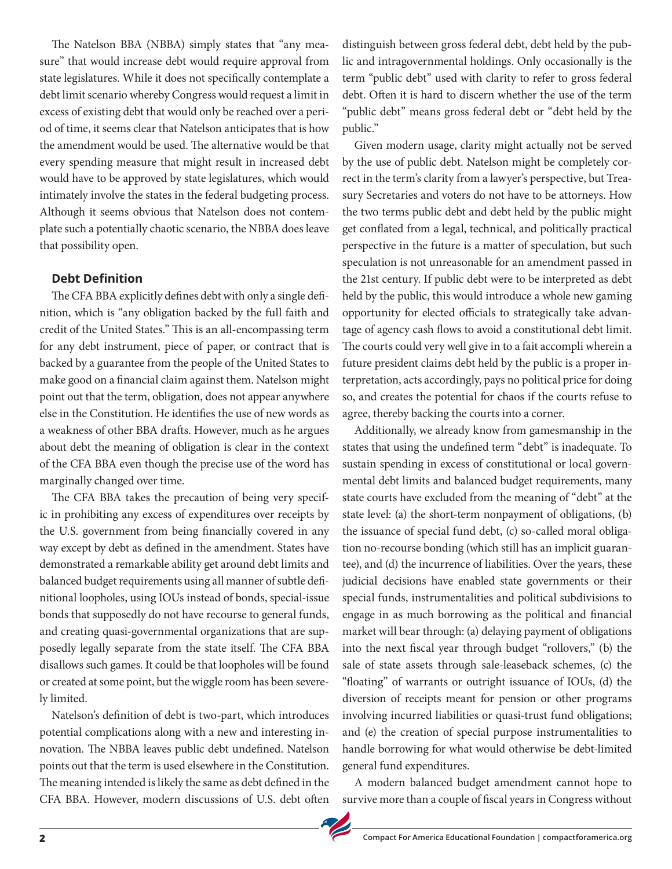The Natelson BBA (NBBA) simply states that "any measure" that would increase debt would require approval from state legislatures. While it does not specifically contemplate a debt limit scenario whereby Congress would request a limit in excess of existing debt that would only be reached over a period of time, it seems clear that Natelson anticipates that is how the amendment would be used. The alternative would be that every spending measure that might result in increased debt would have to be approved by state legislatures, which would intimately involve the states in the federal budgeting process. Although it seems obvious that Natelson does not contemplate such a potentially chaotic scenario, the NBBA does leave that possibility open.

#### **Debt Definition**

The CFA BBA explicitly defines debt with only a single definition, which is "any obligation backed by the full faith and credit of the United States." This is an all-encompassing term for any debt instrument, piece of paper, or contract that is backed by a guarantee from the people of the United States to make good on a financial claim against them. Natelson might point out that the term, obligation, does not appear anywhere else in the Constitution. He identifies the use of new words as a weakness of other BBA drafts. However, much as he argues about debt the meaning of obligation is clear in the context of the CFA BBA even though the precise use of the word has marginally changed over time.

The CFA BBA takes the precaution of being very specific in prohibiting any excess of expenditures over receipts by the U.S. government from being financially covered in any way except by debt as defined in the amendment. States have demonstrated a remarkable ability get around debt limits and balanced budget requirements using all manner of subtle definitional loopholes, using IOUs instead of bonds, special-issue bonds that supposedly do not have recourse to general funds, and creating quasi-governmental organizations that are supposedly legally separate from the state itself. The CFA BBA disallows such games. It could be that loopholes will be found or created at some point, but the wiggle room has been severely limited.

Natelson's definition of debt is two-part, which introduces potential complications along with a new and interesting innovation. The NBBA leaves public debt undefined. Natelson points out that the term is used elsewhere in the Constitution. The meaning intended is likely the same as debt defined in the CFA BBA. However, modern discussions of U.S. debt often distinguish between gross federal debt, debt held by the public and intragovernmental holdings. Only occasionally is the term "public debt" used with clarity to refer to gross federal debt. Often it is hard to discern whether the use of the term "public debt" means gross federal debt or "debt held by the public."

Given modern usage, clarity might actually not be served by the use of public debt. Natelson might be completely correct in the term's clarity from a lawyer's perspective, but Treasury Secretaries and voters do not have to be attorneys. How the two terms public debt and debt held by the public might get conflated from a legal, technical, and politically practical perspective in the future is a matter of speculation, but such speculation is not unreasonable for an amendment passed in the 21st century. If public debt were to be interpreted as debt held by the public, this would introduce a whole new gaming opportunity for elected officials to strategically take advantage of agency cash flows to avoid a constitutional debt limit. The courts could very well give in to a fait accompli wherein a future president claims debt held by the public is a proper interpretation, acts accordingly, pays no political price for doing so, and creates the potential for chaos if the courts refuse to agree, thereby backing the courts into a corner.

Additionally, we already know from gamesmanship in the states that using the undefined term "debt" is inadequate. To sustain spending in excess of constitutional or local governmental debt limits and balanced budget requirements, many state courts have excluded from the meaning of "debt" at the state level: (a) the short-term nonpayment of obligations, (b) the issuance of special fund debt, (c) so-called moral obligation no-recourse bonding (which still has an implicit guarantee), and (d) the incurrence of liabilities. Over the years, these judicial decisions have enabled state governments or their special funds, instrumentalities and political subdivisions to engage in as much borrowing as the political and financial market will bear through: (a) delaying payment of obligations into the next fiscal year through budget "rollovers," (b) the sale of state assets through sale-leaseback schemes, (c) the "floating" of warrants or outright issuance of IOUs, (d) the diversion of receipts meant for pension or other programs involving incurred liabilities or quasi-trust fund obligations; and (e) the creation of special purpose instrumentalities to handle borrowing for what would otherwise be debt-limited general fund expenditures.

A modern balanced budget amendment cannot hope to survive more than a couple of fiscal years in Congress without

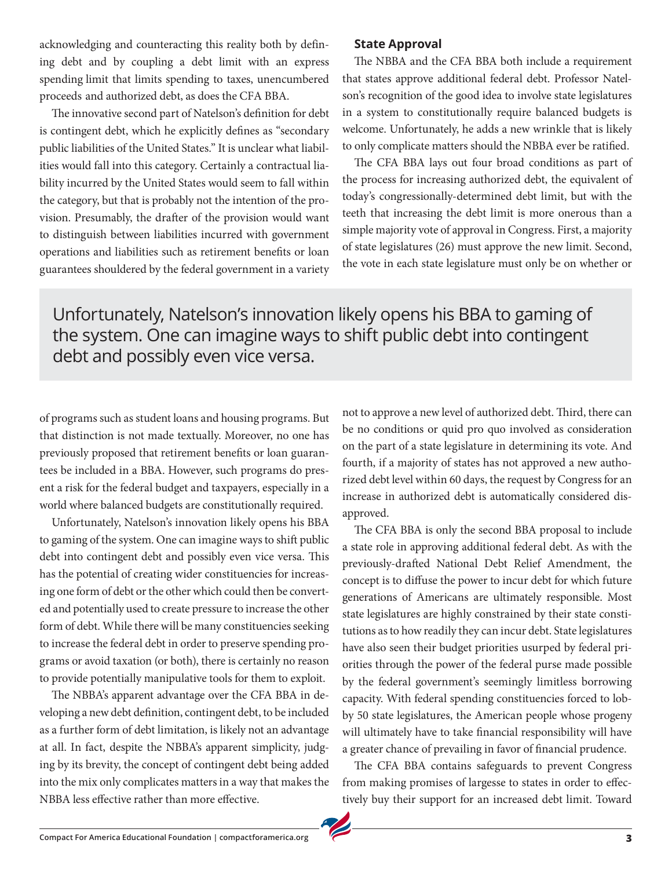acknowledging and counteracting this reality both by defining debt and by coupling a debt limit with an express spending limit that limits spending to taxes, unencumbered proceeds and authorized debt, as does the CFA BBA.

The innovative second part of Natelson's definition for debt is contingent debt, which he explicitly defines as "secondary public liabilities of the United States." It is unclear what liabilities would fall into this category. Certainly a contractual liability incurred by the United States would seem to fall within the category, but that is probably not the intention of the provision. Presumably, the drafter of the provision would want to distinguish between liabilities incurred with government operations and liabilities such as retirement benefits or loan guarantees shouldered by the federal government in a variety

#### **State Approval**

The NBBA and the CFA BBA both include a requirement that states approve additional federal debt. Professor Natelson's recognition of the good idea to involve state legislatures in a system to constitutionally require balanced budgets is welcome. Unfortunately, he adds a new wrinkle that is likely to only complicate matters should the NBBA ever be ratified.

The CFA BBA lays out four broad conditions as part of the process for increasing authorized debt, the equivalent of today's congressionally-determined debt limit, but with the teeth that increasing the debt limit is more onerous than a simple majority vote of approval in Congress. First, a majority of state legislatures (26) must approve the new limit. Second, the vote in each state legislature must only be on whether or

Unfortunately, Natelson's innovation likely opens his BBA to gaming of the system. One can imagine ways to shift public debt into contingent debt and possibly even vice versa.

of programs such as student loans and housing programs. But that distinction is not made textually. Moreover, no one has previously proposed that retirement benefits or loan guarantees be included in a BBA. However, such programs do present a risk for the federal budget and taxpayers, especially in a world where balanced budgets are constitutionally required.

Unfortunately, Natelson's innovation likely opens his BBA to gaming of the system. One can imagine ways to shift public debt into contingent debt and possibly even vice versa. This has the potential of creating wider constituencies for increasing one form of debt or the other which could then be converted and potentially used to create pressure to increase the other form of debt. While there will be many constituencies seeking to increase the federal debt in order to preserve spending programs or avoid taxation (or both), there is certainly no reason to provide potentially manipulative tools for them to exploit.

The NBBA's apparent advantage over the CFA BBA in developing a new debt definition, contingent debt, to be included as a further form of debt limitation, is likely not an advantage at all. In fact, despite the NBBA's apparent simplicity, judging by its brevity, the concept of contingent debt being added into the mix only complicates matters in a way that makes the NBBA less effective rather than more effective.

not to approve a new level of authorized debt. Third, there can be no conditions or quid pro quo involved as consideration on the part of a state legislature in determining its vote. And fourth, if a majority of states has not approved a new authorized debt level within 60 days, the request by Congress for an increase in authorized debt is automatically considered disapproved.

The CFA BBA is only the second BBA proposal to include a state role in approving additional federal debt. As with the previously-drafted National Debt Relief Amendment, the concept is to diffuse the power to incur debt for which future generations of Americans are ultimately responsible. Most state legislatures are highly constrained by their state constitutions as to how readily they can incur debt. State legislatures have also seen their budget priorities usurped by federal priorities through the power of the federal purse made possible by the federal government's seemingly limitless borrowing capacity. With federal spending constituencies forced to lobby 50 state legislatures, the American people whose progeny will ultimately have to take financial responsibility will have a greater chance of prevailing in favor of financial prudence.

The CFA BBA contains safeguards to prevent Congress from making promises of largesse to states in order to effectively buy their support for an increased debt limit. Toward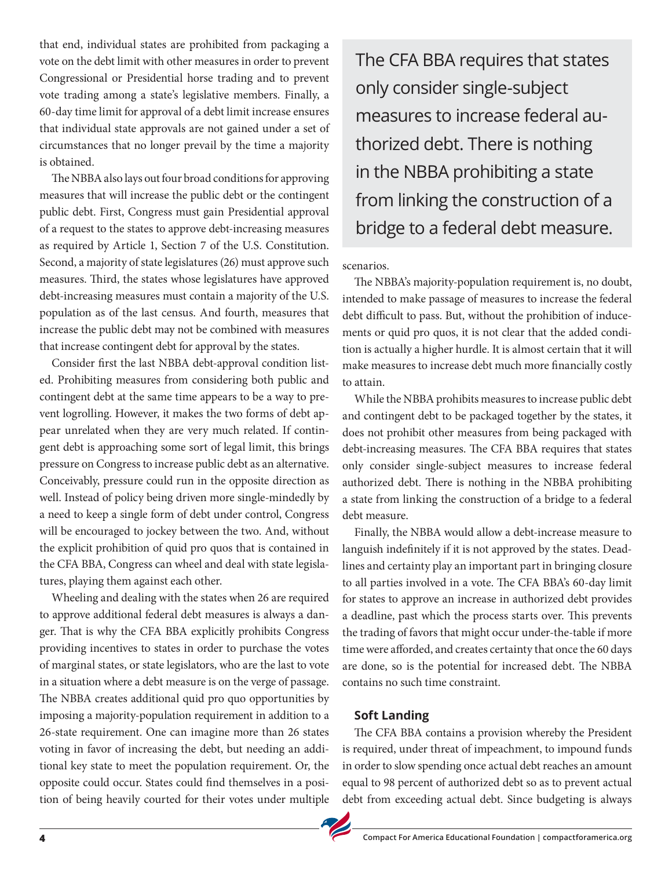that end, individual states are prohibited from packaging a vote on the debt limit with other measures in order to prevent Congressional or Presidential horse trading and to prevent vote trading among a state's legislative members. Finally, a 60-day time limit for approval of a debt limit increase ensures that individual state approvals are not gained under a set of circumstances that no longer prevail by the time a majority is obtained.

The NBBA also lays out four broad conditions for approving measures that will increase the public debt or the contingent public debt. First, Congress must gain Presidential approval of a request to the states to approve debt-increasing measures as required by Article 1, Section 7 of the U.S. Constitution. Second, a majority of state legislatures (26) must approve such measures. Third, the states whose legislatures have approved debt-increasing measures must contain a majority of the U.S. population as of the last census. And fourth, measures that increase the public debt may not be combined with measures that increase contingent debt for approval by the states.

Consider first the last NBBA debt-approval condition listed. Prohibiting measures from considering both public and contingent debt at the same time appears to be a way to prevent logrolling. However, it makes the two forms of debt appear unrelated when they are very much related. If contingent debt is approaching some sort of legal limit, this brings pressure on Congress to increase public debt as an alternative. Conceivably, pressure could run in the opposite direction as well. Instead of policy being driven more single-mindedly by a need to keep a single form of debt under control, Congress will be encouraged to jockey between the two. And, without the explicit prohibition of quid pro quos that is contained in the CFA BBA, Congress can wheel and deal with state legislatures, playing them against each other.

Wheeling and dealing with the states when 26 are required to approve additional federal debt measures is always a danger. That is why the CFA BBA explicitly prohibits Congress providing incentives to states in order to purchase the votes of marginal states, or state legislators, who are the last to vote in a situation where a debt measure is on the verge of passage. The NBBA creates additional quid pro quo opportunities by imposing a majority-population requirement in addition to a 26-state requirement. One can imagine more than 26 states voting in favor of increasing the debt, but needing an additional key state to meet the population requirement. Or, the opposite could occur. States could find themselves in a position of being heavily courted for their votes under multiple

The CFA BBA requires that states only consider single-subject measures to increase federal authorized debt. There is nothing in the NBBA prohibiting a state from linking the construction of a bridge to a federal debt measure.

scenarios.

The NBBA's majority-population requirement is, no doubt, intended to make passage of measures to increase the federal debt difficult to pass. But, without the prohibition of inducements or quid pro quos, it is not clear that the added condition is actually a higher hurdle. It is almost certain that it will make measures to increase debt much more financially costly to attain.

While the NBBA prohibits measures to increase public debt and contingent debt to be packaged together by the states, it does not prohibit other measures from being packaged with debt-increasing measures. The CFA BBA requires that states only consider single-subject measures to increase federal authorized debt. There is nothing in the NBBA prohibiting a state from linking the construction of a bridge to a federal debt measure.

Finally, the NBBA would allow a debt-increase measure to languish indefinitely if it is not approved by the states. Deadlines and certainty play an important part in bringing closure to all parties involved in a vote. The CFA BBA's 60-day limit for states to approve an increase in authorized debt provides a deadline, past which the process starts over. This prevents the trading of favors that might occur under-the-table if more time were afforded, and creates certainty that once the 60 days are done, so is the potential for increased debt. The NBBA contains no such time constraint.

#### **Soft Landing**

The CFA BBA contains a provision whereby the President is required, under threat of impeachment, to impound funds in order to slow spending once actual debt reaches an amount equal to 98 percent of authorized debt so as to prevent actual debt from exceeding actual debt. Since budgeting is always

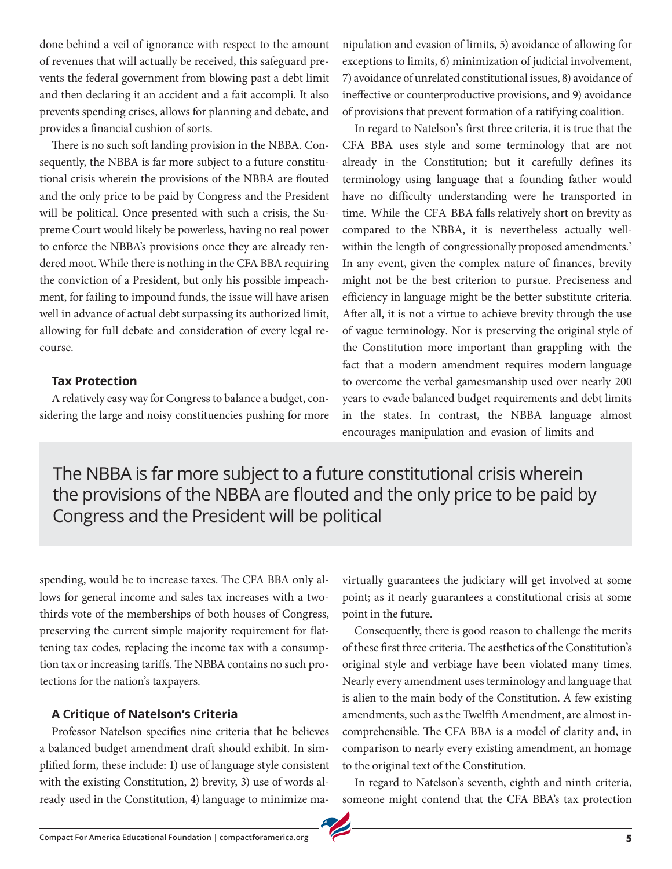done behind a veil of ignorance with respect to the amount of revenues that will actually be received, this safeguard prevents the federal government from blowing past a debt limit and then declaring it an accident and a fait accompli. It also prevents spending crises, allows for planning and debate, and provides a financial cushion of sorts.

There is no such soft landing provision in the NBBA. Consequently, the NBBA is far more subject to a future constitutional crisis wherein the provisions of the NBBA are flouted and the only price to be paid by Congress and the President will be political. Once presented with such a crisis, the Supreme Court would likely be powerless, having no real power to enforce the NBBA's provisions once they are already rendered moot. While there is nothing in the CFA BBA requiring the conviction of a President, but only his possible impeachment, for failing to impound funds, the issue will have arisen well in advance of actual debt surpassing its authorized limit, allowing for full debate and consideration of every legal recourse.

#### **Tax Protection**

A relatively easy way for Congress to balance a budget, considering the large and noisy constituencies pushing for more nipulation and evasion of limits, 5) avoidance of allowing for exceptions to limits, 6) minimization of judicial involvement, 7) avoidance of unrelated constitutional issues, 8) avoidance of ineffective or counterproductive provisions, and 9) avoidance of provisions that prevent formation of a ratifying coalition.

In regard to Natelson's first three criteria, it is true that the CFA BBA uses style and some terminology that are not already in the Constitution; but it carefully defines its terminology using language that a founding father would have no difficulty understanding were he transported in time. While the CFA BBA falls relatively short on brevity as compared to the NBBA, it is nevertheless actually wellwithin the length of congressionally proposed amendments.<sup>3</sup> In any event, given the complex nature of finances, brevity might not be the best criterion to pursue. Preciseness and efficiency in language might be the better substitute criteria. After all, it is not a virtue to achieve brevity through the use of vague terminology. Nor is preserving the original style of the Constitution more important than grappling with the fact that a modern amendment requires modern language to overcome the verbal gamesmanship used over nearly 200 years to evade balanced budget requirements and debt limits in the states. In contrast, the NBBA language almost encourages manipulation and evasion of limits and

The NBBA is far more subject to a future constitutional crisis wherein the provisions of the NBBA are flouted and the only price to be paid by Congress and the President will be political

spending, would be to increase taxes. The CFA BBA only allows for general income and sales tax increases with a twothirds vote of the memberships of both houses of Congress, preserving the current simple majority requirement for flattening tax codes, replacing the income tax with a consumption tax or increasing tariffs. The NBBA contains no such protections for the nation's taxpayers.

#### **A Critique of Natelson's Criteria**

Professor Natelson specifies nine criteria that he believes a balanced budget amendment draft should exhibit. In simplified form, these include: 1) use of language style consistent with the existing Constitution, 2) brevity, 3) use of words already used in the Constitution, 4) language to minimize mavirtually guarantees the judiciary will get involved at some point; as it nearly guarantees a constitutional crisis at some point in the future.

Consequently, there is good reason to challenge the merits of these first three criteria. The aesthetics of the Constitution's original style and verbiage have been violated many times. Nearly every amendment uses terminology and language that is alien to the main body of the Constitution. A few existing amendments, such as the Twelfth Amendment, are almost incomprehensible. The CFA BBA is a model of clarity and, in comparison to nearly every existing amendment, an homage to the original text of the Constitution.

In regard to Natelson's seventh, eighth and ninth criteria, someone might contend that the CFA BBA's tax protection

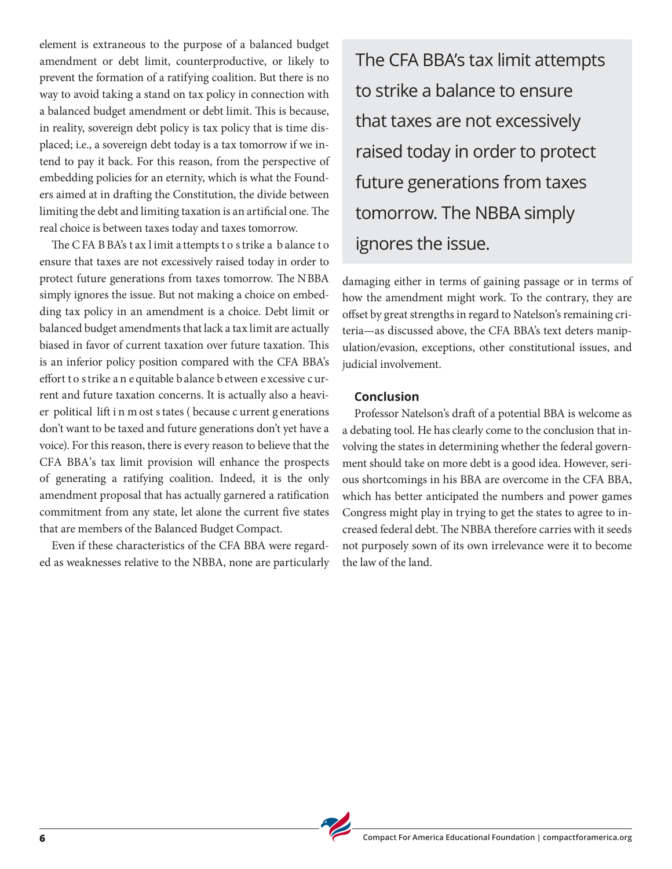element is extraneous to the purpose of a balanced budget amendment or debt limit, counterproductive, or likely to prevent the formation of a ratifying coalition. But there is no way to avoid taking a stand on tax policy in connection with a balanced budget amendment or debt limit. This is because, in reality, sovereign debt policy is tax policy that is time displaced; i.e., a sovereign debt today is a tax tomorrow if we intend to pay it back. For this reason, from the perspective of embedding policies for an eternity, which is what the Founders aimed at in drafting the Constitution, the divide between limiting the debt and limiting taxation is an artificial one. The real choice is between taxes today and taxes tomorrow.

The CFA B BA's t ax l imit a ttempts to s trike a b alance to ensure that taxes are not excessively raised today in order to protect future generations from taxes tomorrow. The NBBA simply ignores the issue. But not making a choice on embedding tax policy in an amendment is a choice. Debt limit or balanced budget amendments that lack a tax limit are actually biased in favor of current taxation over future taxation. This is an inferior policy position compared with the CFA BBA's effort t o s trike a n e quitable b alance b etween e xcessive c urrent and future taxation concerns. It is actually also a heavier political lift i n m ost s tates ( because c urrent g enerations don't want to be taxed and future generations don't yet have a voice). For this reason, there is every reason to believe that the CFA BBA's tax limit provision will enhance the prospects of generating a ratifying coalition. Indeed, it is the only amendment proposal that has actually garnered a ratification commitment from any state, let alone the current five states that are members of the Balanced Budget Compact.

Even if these characteristics of the CFA BBA were regarded as weaknesses relative to the NBBA, none are particularly

The CFA BBA's tax limit attempts to strike a balance to ensure that taxes are not excessively raised today in order to protect future generations from taxes tomorrow. The NBBA simply ignores the issue.

damaging either in terms of gaining passage or in terms of how the amendment might work. To the contrary, they are offset by great strengths in regard to Natelson's remaining criteria—as discussed above, the CFA BBA's text deters manipulation/evasion, exceptions, other constitutional issues, and judicial involvement.

#### **Conclusion**

Professor Natelson's draft of a potential BBA is welcome as a debating tool. He has clearly come to the conclusion that involving the states in determining whether the federal government should take on more debt is a good idea. However, serious shortcomings in his BBA are overcome in the CFA BBA, which has better anticipated the numbers and power games Congress might play in trying to get the states to agree to increased federal debt. The NBBA therefore carries with it seeds not purposely sown of its own irrelevance were it to become the law of the land.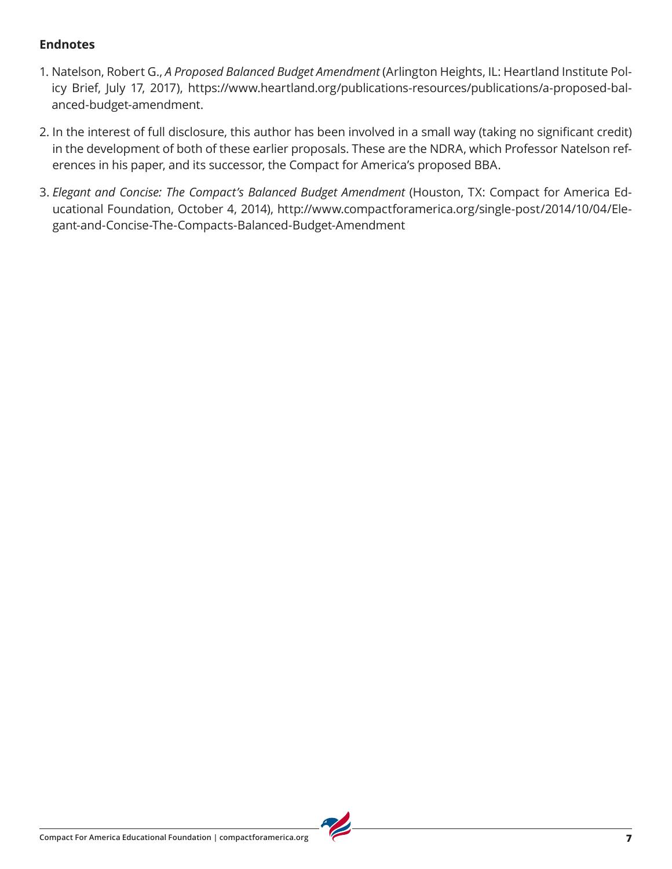# **Endnotes**

- 1. Natelson, Robert G., *A Proposed Balanced Budget Amendment* (Arlington Heights, IL: Heartland Institute Policy Brief, July 17, 2017), https://www.heartland.org/publications-resources/publications/a-proposed-balanced-budget-amendment.
- 2. In the interest of full disclosure, this author has been involved in a small way (taking no significant credit) in the development of both of these earlier proposals. These are the NDRA, which Professor Natelson references in his paper, and its successor, the Compact for America's proposed BBA.
- 3. *Elegant and Concise: The Compact's Balanced Budget Amendment* (Houston, TX: Compact for America Educational Foundation, October 4, 2014), http://www.compactforamerica.org/single-post/2014/10/04/Elegant-and-Concise-The-Compacts-Balanced-Budget-Amendment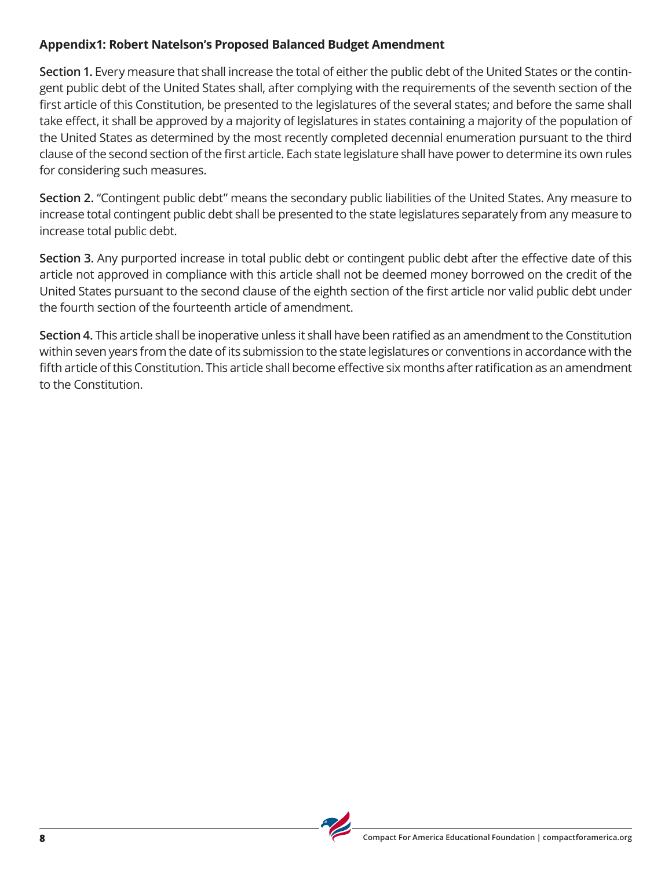# **Appendix1: Robert Natelson's Proposed Balanced Budget Amendment**

**Section 1.** Every measure that shall increase the total of either the public debt of the United States or the contingent public debt of the United States shall, after complying with the requirements of the seventh section of the first article of this Constitution, be presented to the legislatures of the several states; and before the same shall take effect, it shall be approved by a majority of legislatures in states containing a majority of the population of the United States as determined by the most recently completed decennial enumeration pursuant to the third clause of the second section of the first article. Each state legislature shall have power to determine its own rules for considering such measures.

**Section 2.** "Contingent public debt" means the secondary public liabilities of the United States. Any measure to increase total contingent public debt shall be presented to the state legislatures separately from any measure to increase total public debt.

**Section 3.** Any purported increase in total public debt or contingent public debt after the effective date of this article not approved in compliance with this article shall not be deemed money borrowed on the credit of the United States pursuant to the second clause of the eighth section of the first article nor valid public debt under the fourth section of the fourteenth article of amendment.

**Section 4.** This article shall be inoperative unless it shall have been ratified as an amendment to the Constitution within seven years from the date of its submission to the state legislatures or conventions in accordance with the fifth article of this Constitution. This article shall become effective six months after ratification as an amendment to the Constitution.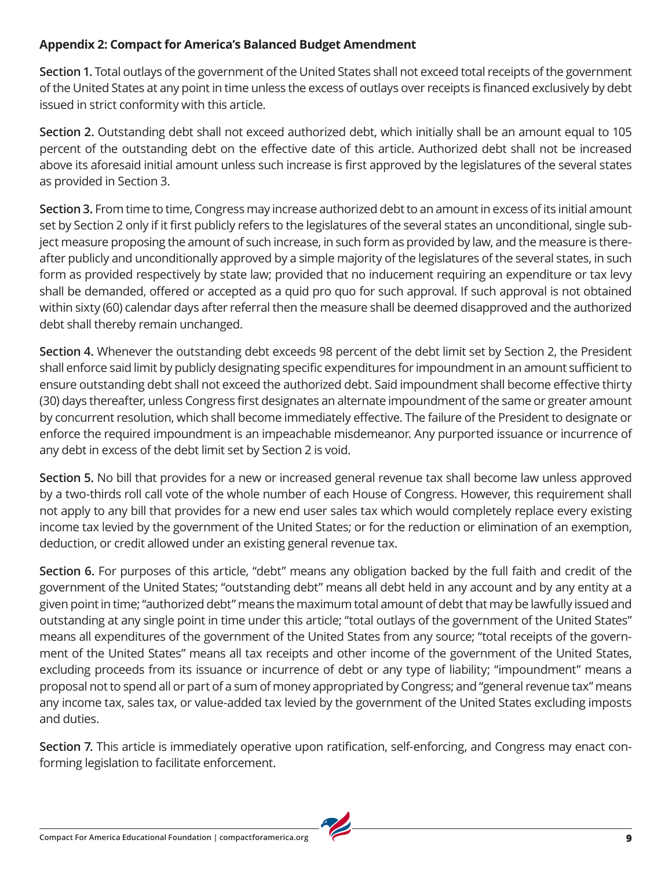# **Appendix 2: Compact for America's Balanced Budget Amendment**

**Section 1.** Total outlays of the government of the United States shall not exceed total receipts of the government of the United States at any point in time unless the excess of outlays over receipts is financed exclusively by debt issued in strict conformity with this article.

**Section 2.** Outstanding debt shall not exceed authorized debt, which initially shall be an amount equal to 105 percent of the outstanding debt on the effective date of this article. Authorized debt shall not be increased above its aforesaid initial amount unless such increase is first approved by the legislatures of the several states as provided in Section 3.

**Section 3.** From time to time, Congress may increase authorized debt to an amount in excess of its initial amount set by Section 2 only if it first publicly refers to the legislatures of the several states an unconditional, single subject measure proposing the amount of such increase, in such form as provided by law, and the measure is thereafter publicly and unconditionally approved by a simple majority of the legislatures of the several states, in such form as provided respectively by state law; provided that no inducement requiring an expenditure or tax levy shall be demanded, offered or accepted as a quid pro quo for such approval. If such approval is not obtained within sixty (60) calendar days after referral then the measure shall be deemed disapproved and the authorized debt shall thereby remain unchanged.

**Section 4.** Whenever the outstanding debt exceeds 98 percent of the debt limit set by Section 2, the President shall enforce said limit by publicly designating specific expenditures for impoundment in an amount sufficient to ensure outstanding debt shall not exceed the authorized debt. Said impoundment shall become effective thirty (30) days thereafter, unless Congress first designates an alternate impoundment of the same or greater amount by concurrent resolution, which shall become immediately effective. The failure of the President to designate or enforce the required impoundment is an impeachable misdemeanor. Any purported issuance or incurrence of any debt in excess of the debt limit set by Section 2 is void.

**Section 5.** No bill that provides for a new or increased general revenue tax shall become law unless approved by a two-thirds roll call vote of the whole number of each House of Congress. However, this requirement shall not apply to any bill that provides for a new end user sales tax which would completely replace every existing income tax levied by the government of the United States; or for the reduction or elimination of an exemption, deduction, or credit allowed under an existing general revenue tax.

**Section 6.** For purposes of this article, "debt" means any obligation backed by the full faith and credit of the government of the United States; "outstanding debt" means all debt held in any account and by any entity at a given point in time; "authorized debt" means the maximum total amount of debt that may be lawfully issued and outstanding at any single point in time under this article; "total outlays of the government of the United States" means all expenditures of the government of the United States from any source; "total receipts of the government of the United States" means all tax receipts and other income of the government of the United States, excluding proceeds from its issuance or incurrence of debt or any type of liability; "impoundment" means a proposal not to spend all or part of a sum of money appropriated by Congress; and "general revenue tax" means any income tax, sales tax, or value-added tax levied by the government of the United States excluding imposts and duties.

**Section 7.** This article is immediately operative upon ratification, self-enforcing, and Congress may enact conforming legislation to facilitate enforcement.